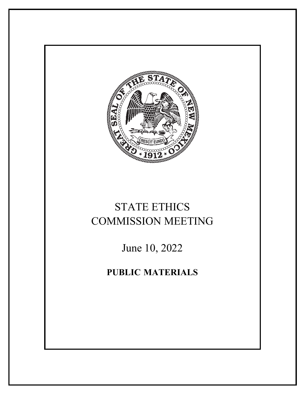

# STATE ETHICS COMMISSION MEETING

June 10, 2022

**PUBLIC MATERIALS**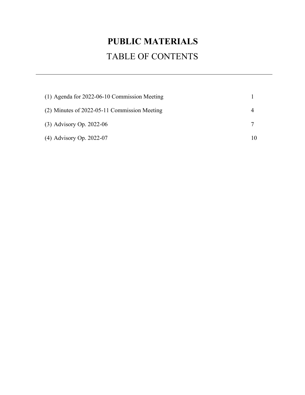# **PUBLIC MATERIALS** TABLE OF CONTENTS

| $(1)$ Agenda for 2022-06-10 Commission Meeting |  |
|------------------------------------------------|--|
| $(2)$ Minutes of 2022-05-11 Commission Meeting |  |
| $(3)$ Advisory Op. 2022-06                     |  |
| (4) Advisory Op. 2022-07                       |  |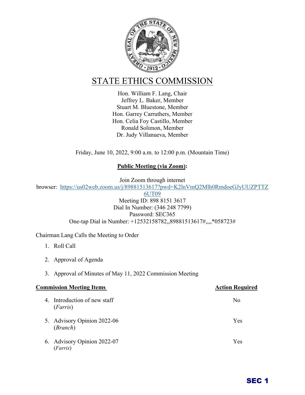

# STATE ETHICS COMMISSION

Hon. William F. Lang, Chair Jeffrey L. Baker, Member Stuart M. Bluestone, Member Hon. Garrey Carruthers, Member Hon. Celia Foy Castillo, Member Ronald Solimon, Member Dr. Judy Villanueva, Member

Friday, June 10, 2022, 9:00 a.m. to 12:00 p.m. (Mountain Time)

## **Public Meeting (via Zoom):**

Join Zoom through internet browser: [https://us02web.zoom.us/j/89881513617?pwd=K2lnVmQ2Mlh0RmdoeGJyUUZPTTZ](https://us02web.zoom.us/j/89881513617?pwd=K2lnVmQ2Mlh0RmdoeGJyUUZPTTZ6UT09)

[6UT09](https://us02web.zoom.us/j/89881513617?pwd=K2lnVmQ2Mlh0RmdoeGJyUUZPTTZ6UT09)

Meeting ID: 898 8151 3617 Dial In Number: (346 248 7799) Password: SEC365 One-tap Dial in Number: +12532158782,,89881513617#,,,,\*058723#

Chairman Lang Calls the Meeting to Order

- 1. Roll Call
- 2. Approval of Agenda
- 3. Approval of Minutes of May 11, 2022 Commission Meeting

| <b>Commission Meeting Items</b> |                                          | <b>Action Required</b> |
|---------------------------------|------------------------------------------|------------------------|
|                                 | 4. Introduction of new staff<br>(Farris) | No                     |
|                                 | 5. Advisory Opinion 2022-06<br>(Branch)  | Yes                    |
|                                 | 6. Advisory Opinion 2022-07<br>(Farris)  | Yes                    |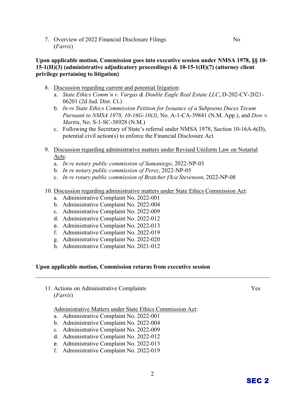7. Overview of 2022 Financial Disclosure Filings No (*Farris*)

#### **Upon applicable motion, Commission goes into executive session under NMSA 1978, §§ 10- 15-1(H)(3) (administrative adjudicatory proceedings) & 10-15-1(H)(7) (attorney client privilege pertaining to litigation)**

- 8. Discussion regarding current and potential litigation:
	- a. *State Ethics Comm'n v. Vargas & Double Eagle Real Estate LLC*, D-202-CV-2021- 06201 (2d Jud. Dist. Ct.)
	- b. *In re State Ethics Commission Petition for Issuance of a Subpoena Duces Tecum Pursuant to NMSA 1978, 10-16G-10(J)*, No. A-1-CA-39841 (N.M. App.), and *Dow v. Martin*, No. S-1-SC-38928 (N.M.)
	- c. Following the Secretary of State's referral under NMSA 1978, Section 10-16A-6(D), potential civil action(s) to enforce the Financial Disclosure Act
- 9. Discussion regarding administrative matters under Revised Uniform Law on Notarial Acts:
	- a. *In re notary public commission of Samaniego*, 2022-NP-03
	- b. *In re notary public commission of Perez*, 2022-NP-05
	- c. *In re rotary public commission of Bratcher f/k/a Stevenson*, 2022-NP-08

#### 10. Discussion regarding administrative matters under State Ethics Commission Act:

- a. Administrative Complaint No. 2022-001
- b. Administrative Complaint No. 2022-004
- c. Administrative Complaint No. 2022-009
- d. Administrative Complaint No. 2022-012
- e. Administrative Complaint No. 2022-013
- f. Administrative Complaint No. 2022-019
- g. Administrative Complaint No. 2022-020
- h. Administrative Complaint No. 2021-012

#### **Upon applicable motion, Commission returns from executive session**

11. Actions on Administrative Complaints Yes (*Farris*)

Administrative Matters under State Ethics Commission Act:

- a. Administrative Complaint No. 2022-001
- b. Administrative Complaint No. 2022-004
- c. Administrative Complaint No. 2022-009
- d. Administrative Complaint No. 2022-012
- e. Administrative Complaint No. 2022-013
- f. Administrative Complaint No. 2022-019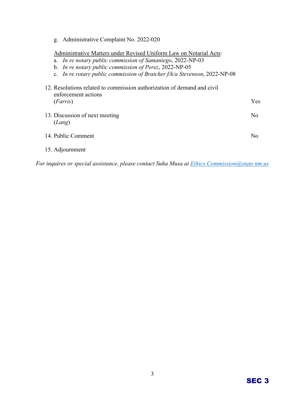g. Administrative Complaint No. 2022-020

Administrative Matters under Revised Uniform Law on Notarial Acts:

- a. *In re notary public commission of Samaniego*, 2022-NP-03
- b. *In re notary public commission of Perez*, 2022-NP-05
- c. *In re rotary public commission of Bratcher f/k/a Stevenson*, 2022-NP-08

| 12. Resolutions related to commission authorization of demand and civil<br>enforcement actions |      |  |  |
|------------------------------------------------------------------------------------------------|------|--|--|
| (Farris)                                                                                       | Yes. |  |  |
| 13. Discussion of next meeting<br>(Lang)                                                       | No   |  |  |
| 14. Public Comment                                                                             | No   |  |  |
| 15. Adjournment                                                                                |      |  |  |

*For inquires or special assistance, please contact Suha Musa at [Ethics.Commission@state.nm.us](mailto:Ethics.Commission@state.nm.us)*

# SEC 3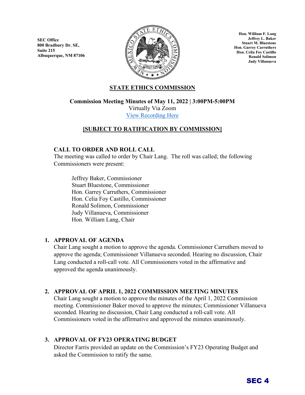**SEC Office 800 Bradbury Dr. SE, Suite 215 Albuquerque, NM 87106**



**Hon. William F. Lang Jeffrey L. Baker Stuart M. Bluestone Hon. Garrey Carruthers Hon. Celia Foy Castillo Ronald Solimon Judy Villanueva**

### **STATE ETHICS COMMISSION**

**Commission Meeting Minutes of May 11, 2022 | 3:00PM-5:00PM**

Virtually Via Zoom [View Recording Here](https://youtu.be/fTaD1bf_IBs)

### **[SUBJECT TO RATIFICATION BY COMMISSION]**

#### **CALL TO ORDER AND ROLL CALL**

The meeting was called to order by Chair Lang. The roll was called; the following Commissioners were present:

Jeffrey Baker, Commissioner Stuart Bluestone, Commissioner Hon. Garrey Carruthers, Commissioner Hon. Celia Foy Castillo, Commissioner Ronald Solimon, Commissioner Judy Villanueva, Commissioner Hon. William Lang, Chair

#### **1. APPROVAL OF AGENDA**

Chair Lang sought a motion to approve the agenda. Commissioner Carruthers moved to approve the agenda; Commissioner Villanueva seconded. Hearing no discussion, Chair Lang conducted a roll-call vote. All Commissioners voted in the affirmative and approved the agenda unanimously.

#### **2. APPROVAL OF APRIL 1, 2022 COMMISSION MEETING MINUTES**

Chair Lang sought a motion to approve the minutes of the April 1, 2022 Commission meeting. Commissioner Baker moved to approve the minutes; Commissioner Villanueva seconded. Hearing no discussion, Chair Lang conducted a roll-call vote. All Commissioners voted in the affirmative and approved the minutes unanimously.

#### **3. APPROVAL OF FY23 OPERATING BUDGET**

Director Farris provided an update on the Commission's FY23 Operating Budget and asked the Commission to ratify the same.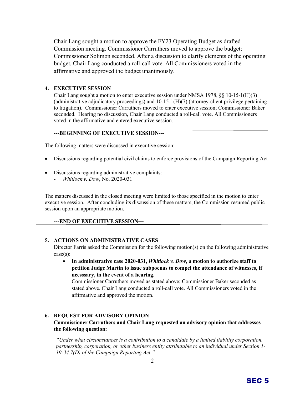Chair Lang sought a motion to approve the FY23 Operating Budget as drafted Commission meeting. Commissioner Carruthers moved to approve the budget; Commissioner Solimon seconded. After a discussion to clarify elements of the operating budget, Chair Lang conducted a roll-call vote. All Commissioners voted in the affirmative and approved the budget unanimously.

#### **4. EXECUTIVE SESSION**

Chair Lang sought a motion to enter executive session under NMSA 1978,  $\S$ § 10-15-1(H)(3) (administrative adjudicatory proceedings) and 10-15-1(H)(7) (attorney-client privilege pertaining to litigation). Commissioner Carruthers moved to enter executive session; Commissioner Baker seconded. Hearing no discussion, Chair Lang conducted a roll-call vote. All Commissioners voted in the affirmative and entered executive session.

#### **---BEGINNING OF EXECUTIVE SESSION---**

The following matters were discussed in executive session:

- Discussions regarding potential civil claims to enforce provisions of the Campaign Reporting Act
- Discussions regarding administrative complaints: - *Whitlock v. Dow*, No. 2020-031

The matters discussed in the closed meeting were limited to those specified in the motion to enter executive session. After concluding its discussion of these matters, the Commission resumed public session upon an appropriate motion.

#### **---END OF EXECUTIVE SESSION---**

#### **5. ACTIONS ON ADMINISTRATIVE CASES**

Director Farris asked the Commission for the following motion(s) on the following administrative case(s):

• **In administrative case 2020-031,** *Whitlock v. Dow***, a motion to authorize staff to petition Judge Martin to issue subpoenas to compel the attendance of witnesses, if ncesssary, in the event of a hearing.**

Commissioner Carruthers moved as stated above; Commissioner Baker seconded as stated above. Chair Lang conducted a roll-call vote. All Commissioners voted in the affirmative and approved the motion.

#### **6. REQUEST FOR ADVISORY OPINION**

#### **Commissioner Carruthers and Chair Lang requested an advisory opinion that addresses the following question:**

*"Under what circumstances is a contribution to a candidate by a limited liability corporation, partnership, corporation, or other business entity attributable to an individual under Section 1- 19-34.7(D) of the Campaign Reporting Act."*

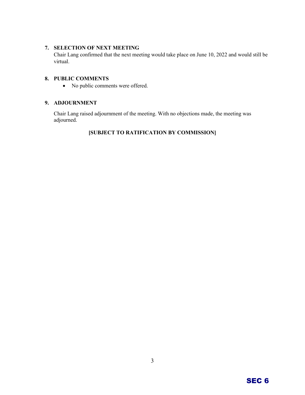#### **7. SELECTION OF NEXT MEETING**

Chair Lang confirmed that the next meeting would take place on June 10, 2022 and would still be virtual.

#### **8. PUBLIC COMMENTS**

• No public comments were offered.

#### **9. ADJOURNMENT**

Chair Lang raised adjournment of the meeting. With no objections made, the meeting was adjourned.

## **[SUBJECT TO RATIFICATION BY COMMISSION]**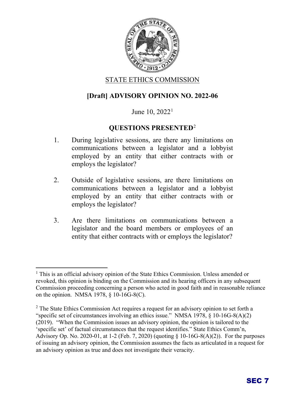

## STATE ETHICS COMMISSION

## **[Draft] ADVISORY OPINION NO. 2022-06**

## June [1](#page-8-0)0,  $2022<sup>1</sup>$

## **QUESTIONS PRESENTED**[2](#page-8-1)

- 1. During legislative sessions, are there any limitations on communications between a legislator and a lobbyist employed by an entity that either contracts with or employs the legislator?
- 2. Outside of legislative sessions, are there limitations on communications between a legislator and a lobbyist employed by an entity that either contracts with or employs the legislator?
- 3. Are there limitations on communications between a legislator and the board members or employees of an entity that either contracts with or employs the legislator?

<span id="page-8-0"></span><sup>&</sup>lt;sup>1</sup> This is an official advisory opinion of the State Ethics Commission. Unless amended or revoked, this opinion is binding on the Commission and its hearing officers in any subsequent Commission proceeding concerning a person who acted in good faith and in reasonable reliance on the opinion. NMSA 1978, § 10-16G-8(C).

<span id="page-8-1"></span> $2$  The State Ethics Commission Act requires a request for an advisory opinion to set forth a "specific set of circumstances involving an ethics issue." NMSA 1978, § 10-16G-8(A)(2) (2019). "When the Commission issues an advisory opinion, the opinion is tailored to the 'specific set' of factual circumstances that the request identifies." State Ethics Comm'n, Advisory Op. No. 2020-01, at 1-2 (Feb. 7, 2020) (quoting § 10-16G-8(A)(2)). For the purposes of issuing an advisory opinion, the Commission assumes the facts as articulated in a request for an advisory opinion as true and does not investigate their veracity.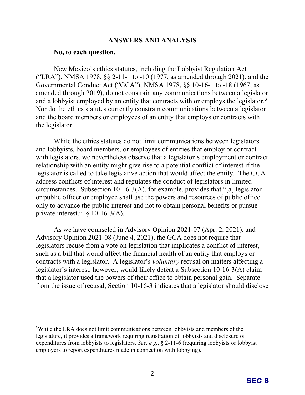## **ANSWERS AND ANALYSIS**

#### **No, to each question.**

New Mexico's ethics statutes, including the Lobbyist Regulation Act ("LRA"), NMSA 1978, §§ 2-11-1 to -10 (1977, as amended through 2021), and the Governmental Conduct Act ("GCA"), NMSA 1978, §§ 10-16-1 to -18 (1967, as amended through 2019), do not constrain any communications between a legislator and a lobbyist employed by an entity that contracts with or employs the legislator.<sup>[3](#page-9-0)</sup> Nor do the ethics statutes currently constrain communications between a legislator and the board members or employees of an entity that employs or contracts with the legislator.

While the ethics statutes do not limit communications between legislators and lobbyists, board members, or employees of entities that employ or contract with legislators, we nevertheless observe that a legislator's employment or contract relationship with an entity might give rise to a potential conflict of interest if the legislator is called to take legislative action that would affect the entity. The GCA address conflicts of interest and regulates the conduct of legislators in limited circumstances. Subsection 10-16-3(A), for example, provides that "[a] legislator or public officer or employee shall use the powers and resources of public office only to advance the public interest and not to obtain personal benefits or pursue private interest." § 10-16-3(A).

As we have counseled in Advisory Opinion 2021-07 (Apr. 2, 2021), and Advisory Opinion 2021-08 (June 4, 2021), the GCA does not require that legislators recuse from a vote on legislation that implicates a conflict of interest, such as a bill that would affect the financial health of an entity that employs or contracts with a legislator. A legislator's *voluntary* recusal on matters affecting a legislator's interest, however, would likely defeat a Subsection 10-16-3(A) claim that a legislator used the powers of their office to obtain personal gain. Separate from the issue of recusal, Section 10-16-3 indicates that a legislator should disclose



<span id="page-9-0"></span><sup>&</sup>lt;sup>3</sup>While the LRA does not limit communications between lobbyists and members of the legislature, it provides a framework requiring registration of lobbyists and disclosure of expenditures from lobbyists to legislators. *See, e.g.*, § 2-11-6 (requiring lobbyists or lobbyist employers to report expenditures made in connection with lobbying).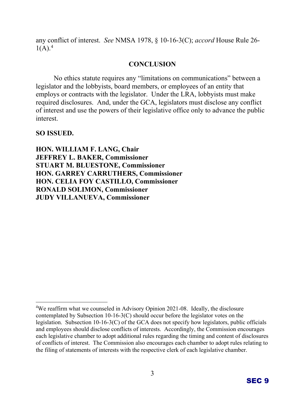any conflict of interest. *See* NMSA 1978, § 10-16-3(C); *accord* House Rule 26-  $1(A).<sup>4</sup>$  $1(A).<sup>4</sup>$  $1(A).<sup>4</sup>$ 

## **CONCLUSION**

No ethics statute requires any "limitations on communications" between a legislator and the lobbyists, board members, or employees of an entity that employs or contracts with the legislator. Under the LRA, lobbyists must make required disclosures. And, under the GCA, legislators must disclose any conflict of interest and use the powers of their legislative office only to advance the public interest.

**SO ISSUED.**

**HON. WILLIAM F. LANG, Chair JEFFREY L. BAKER, Commissioner STUART M. BLUESTONE, Commissioner HON. GARREY CARRUTHERS, Commissioner HON. CELIA FOY CASTILLO, Commissioner RONALD SOLIMON, Commissioner JUDY VILLANUEVA, Commissioner**



<span id="page-10-0"></span><sup>&</sup>lt;sup>4</sup>We reaffirm what we counseled in Advisory Opinion 2021-08. Ideally, the disclosure contemplated by Subsection 10-16-3(C) should occur before the legislator votes on the legislation. Subsection 10-16-3(C) of the GCA does not specify how legislators, public officials and employees should disclose conflicts of interests. Accordingly, the Commission encourages each legislative chamber to adopt additional rules regarding the timing and content of disclosures of conflicts of interest. The Commission also encourages each chamber to adopt rules relating to the filing of statements of interests with the respective clerk of each legislative chamber.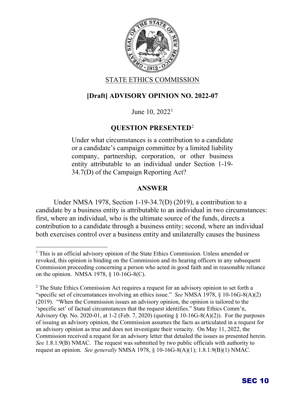

## STATE ETHICS COMMISSION

## **[Draft] ADVISORY OPINION NO. 2022-07**

June [1](#page-11-0)0,  $2022<sup>1</sup>$ 

## **QUESTION PRESENTED**[2](#page-11-1)

Under what circumstances is a contribution to a candidate or a candidate's campaign committee by a limited liability company, partnership, corporation, or other business entity attributable to an individual under Section 1-19- 34.7(D) of the Campaign Reporting Act?

## **ANSWER**

Under NMSA 1978, Section 1-19-34.7(D) (2019), a contribution to a candidate by a business entity is attributable to an individual in two circumstances: first, where an individual, who is the ultimate source of the funds, directs a contribution to a candidate through a business entity; second, where an individual both exercises control over a business entity and unilaterally causes the business



<span id="page-11-0"></span><sup>&</sup>lt;sup>1</sup> This is an official advisory opinion of the State Ethics Commission. Unless amended or revoked, this opinion is binding on the Commission and its hearing officers in any subsequent Commission proceeding concerning a person who acted in good faith and in reasonable reliance on the opinion. NMSA 1978, § 10-16G-8(C).

<span id="page-11-1"></span><sup>&</sup>lt;sup>2</sup> The State Ethics Commission Act requires a request for an advisory opinion to set forth a "specific set of circumstances involving an ethics issue." *See* NMSA 1978, § 10-16G-8(A)(2) (2019). "When the Commission issues an advisory opinion, the opinion is tailored to the 'specific set' of factual circumstances that the request identifies." State Ethics Comm'n, Advisory Op. No. 2020-01, at 1-2 (Feb. 7, 2020) (quoting § 10-16G-8(A)(2)). For the purposes of issuing an advisory opinion, the Commission assumes the facts as articulated in a request for an advisory opinion as true and does not investigate their veracity. On May 11, 2022, the Commission received a request for an advisory letter that detailed the issues as presented herein. *See* 1.8.1.9(B) NMAC. The request was submitted by two public officials with authority to request an opinion. *See generally* NMSA 1978, § 10-16G-8(A)(1); 1.8.1.9(B)(1) NMAC*.*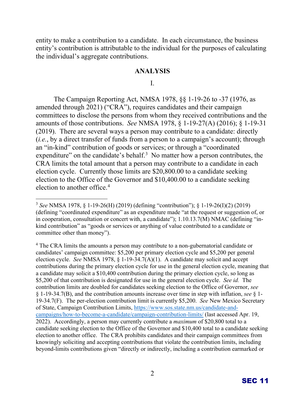entity to make a contribution to a candidate. In each circumstance, the business entity's contribution is attributable to the individual for the purposes of calculating the individual's aggregate contributions.

#### **ANALYSIS**

I.

The Campaign Reporting Act, NMSA 1978, §§ 1-19-26 to -37 (1976, as amended through 2021) ("CRA"), requires candidates and their campaign committees to disclose the persons from whom they received contributions and the amounts of those contributions. *See* NMSA 1978, § 1-19-27(A) (2016); § 1-19-31 (2019). There are several ways a person may contribute to a candidate: directly (*i.e.*, by a direct transfer of funds from a person to a campaign's account); through an "in-kind" contribution of goods or services; or through a "coordinated expenditure" on the candidate's behalf.<sup>[3](#page-12-0)</sup> No matter how a person contributes, the CRA limits the total amount that a person may contribute to a candidate in each election cycle. Currently those limits are \$20,800.00 to a candidate seeking election to the Office of the Governor and \$10,400.00 to a candidate seeking election to another office.[4](#page-12-1)

<span id="page-12-1"></span><sup>4</sup> The CRA limits the amounts a person may contribute to a non-gubernatorial candidate or candidates' campaign committee: \$5,200 per primary election cycle and \$5,200 per general election cycle. *See* NMSA 1978, § 1-19-34.7(A)(1). A candidate may solicit and accept contributions during the primary election cycle for use in the general election cycle, meaning that a candidate may solicit a \$10,400 contribution during the primary election cycle, so long as \$5,200 of that contribution is designated for use in the general election cycle. *See id.* The contribution limits are doubled for candidates seeking election to the Office of Governor, *see* § 1-19-34.7(B), and the contribution amounts increase over time in step with inflation, *see* § 1- 19-34.7(F). The per-election contribution limit is currently \$5,200. *See* New Mexico Secretary of State, Campaign Contribution Limits, [https://www.sos.state.nm.us/candidate-and](https://www.sos.state.nm.us/candidate-and-campaigns/how-to-become-a-candidate/campaign-contribution-limits/)[campaigns/how-to-become-a-candidate/campaign-contribution-limits/](https://www.sos.state.nm.us/candidate-and-campaigns/how-to-become-a-candidate/campaign-contribution-limits/) (last accessed Apr. 19, 2022). Accordingly, a person may currently contribute a *maximum* of \$20,800 total to a candidate seeking election to the Office of the Governor and \$10,400 total to a candidate seeking election to another office. The CRA prohibits candidates and their campaign committees from knowingly soliciting and accepting contributions that violate the contribution limits, including beyond-limits contributions given "directly or indirectly, including a contribution earmarked or



<span id="page-12-0"></span><sup>3</sup> *See* NMSA 1978, § 1-19-26(H) (2019) (defining "contribution"); § 1-19-26(I)(2) (2019) (defining "coordinated expenditure" as an expenditure made "at the request or suggestion of, or in cooperation, consultation or concert with, a candidate"); 1.10.13.7(M) NMAC (defining "inkind contribution" as "goods or services or anything of value contributed to a candidate or committee other than money").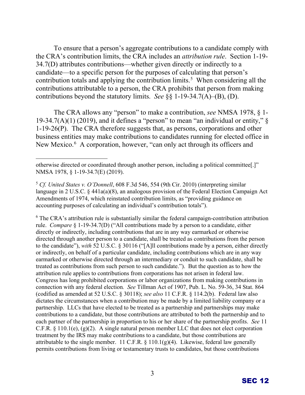To ensure that a person's aggregate contributions to a candidate comply with the CRA's contribution limits, the CRA includes an *attribution rule*. Section 1-19- 34.7(D) attributes contributions—whether given directly or indirectly to a candidate—to a specific person for the purposes of calculating that person's contribution totals and applying the contribution limits.<sup>[5](#page-13-0)</sup> When considering all the contributions attributable to a person, the CRA prohibits that person from making contributions beyond the statutory limits. *See* §§ 1-19-34.7(A)–(B), (D).

The CRA allows any "person" to make a contribution, *see* NMSA 1978, § 1- 19-34.7(A)(1) (2019), and it defines a "person" to mean "an individual or entity,"  $\delta$ 1-19-26(P). The CRA therefore suggests that, as persons, corporations and other business entities may make contributions to candidates running for elected office in New Mexico.<sup>[6](#page-13-1)</sup> A corporation, however, "can only act through its officers and

<span id="page-13-1"></span><sup>6</sup> The CRA's attribution rule is substantially similar the federal campaign-contribution attribution rule. *Compare* § 1-19-34.7(D) ("All contributions made by a person to a candidate, either directly or indirectly, including contributions that are in any way earmarked or otherwise directed through another person to a candidate, shall be treated as contributions from the person to the candidate"), *with* 52 U.S.C. § 30116 ("[A]ll contributions made by a person, either directly or indirectly, on behalf of a particular candidate, including contributions which are in any way earmarked or otherwise directed through an intermediary or conduit to such candidate, shall be treated as contributions from such person to such candidate."). But the question as to how the attribution rule applies to contributions from corporations has not arisen in federal law. Congress has long prohibited corporations or labor organizations from making contributions in connection with any federal election*. See* Tillman Act of 1907, Pub. L. No. 59-36, 34 Stat. 864 (codified as amended at 52 U.S.C. § 30118); *see also* 11 C.F.R. § 114.2(b). Federal law also dictates the circumstances when a contribution may be made by a limited liability company or a partnership. LLCs that have elected to be treated as a partnership and partnerships may make contributions to a candidate, but those contributions are attributed to both the partnership and to each partner of the partnership in proportion to his or her share of the partnership profits. *See* 11 C.F.R.  $\S$  110.1(e), (g)(2). A single natural person member LLC that does not elect corporation treatment by the IRS may make contributions to a candidate, but those contributions are attributable to the single member. 11 C.F.R. § 110.1(g)(4). Likewise, federal law generally permits contributions from living or testamentary trusts to candidates, but those contributions

otherwise directed or coordinated through another person, including a political committee[.]" NMSA 1978, § 1-19-34.7(E) (2019).

<span id="page-13-0"></span><sup>5</sup> *Cf. United States v. O'Donnell*, 608 F.3d 546, 554 (9th Cir. 2010) (interpreting similar language in 2 U.S.C. § 441a(a)(8), an analogous provision of the Federal Election Campaign Act Amendments of 1974, which reinstated contribution limits, as "providing guidance on accounting purposes of calculating an individual's contribution totals").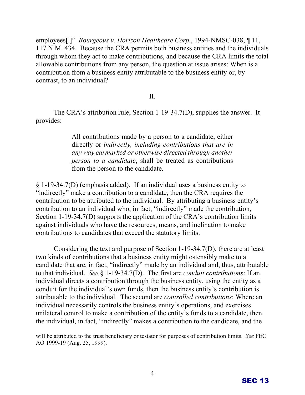g. Administrative Complaint No. 2022-020

Administrative Matters under Revised Uniform Law on Notarial Acts:

- a. In re notary public commission of Samaniego, 2002-03
- b. In re notary public commission of Perenon-NP-05
- c. In re rotary public commission of Bratcher f/k/a Steven8022-NP-08

| 12. Resolutions related to commission authorization of demand and civil<br>enforcement actions |     |
|------------------------------------------------------------------------------------------------|-----|
| (Farris)                                                                                       | Yes |
| 13. Discussion of next meeting<br>(Lang)                                                       | No. |
| 14. Public Comment                                                                             | No. |
|                                                                                                |     |

15. Adjournment

For inquires or spcial assistance, please contact Suha Musa at Ethics.Commission@state.nm.us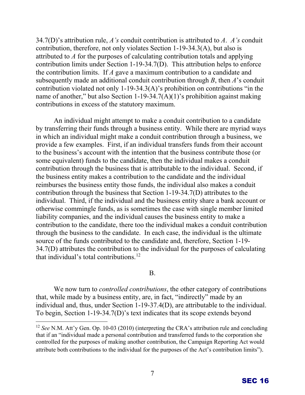# STATE ETHICS COMMISSION

Hon. William F. Lang, Chair Jeffrey L. Baker, Member Stuart M. Bluestone, Member Hon. Garrey Carruthers, Member Hon. Celia Foy Castillo, Member Ronald Solimon, Member Dr. Judy Villanueva, Member

Friday, June 10, 2022, 9:00 a.m. to 12:00 p.m. (Mountain Time)

 $Rbl$  ic Meeting  $fia Zoom$ :

Join Zom through internet

browser: https://us02web.zoom.us/j/89881513617?pwdKlnVmQMlh0RmdoeGJyUUETTZ

6UT09

Meeting ID: 898 8151 3617 Dial In Number: (346 248 7799) Password: SEC365 One-tap Dial in Number: +2532158782,,89881513617#,,058723#

Chairman Lang Calls the Meeting to Order

- 1. Roll Call
- 2. Approval of Agenda
- 3. Approval of Minutes of May 11, 2022 Commission Meeting

| <b>Commission Meeting Items</b>          | <b>Action Required</b> |
|------------------------------------------|------------------------|
| 4. Introduction of new staff<br>(Farris) | No                     |
| 5. Advisory Opinion 2022-06<br>(Branch)  | Yes                    |
| 6. Advisory Opinion 2022-07<br>(Farris)  | Yes                    |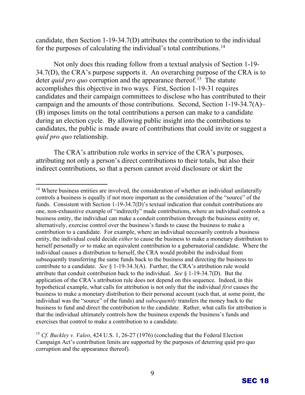candidate, then Section 1-19-34.7(D) attributes the contribution to the individual for the purposes of calculating the individual's total contributions.[14](#page-19-0)

Not only does this reading follow from a textual analysis of Section 1-19- 34.7(D), the CRA's purpose supports it. An overarching purpose of the CRA is to deter *quid pro quo* corruption and the appearance thereof.<sup>15</sup> The statute accomplishes this objective in two ways. First, Section 1-19-31 requires candidates and their campaign committees to disclose who has contributed to their campaign and the amounts of those contributions. Second, Section 1-19-34.7(A)– (B) imposes limits on the total contributions a person can make to a candidate during an election cycle. By allowing public insight into the contributions to candidates, the public is made aware of contributions that could invite or suggest a *quid pro quo* relationship.

The CRA's attribution rule works in service of the CRA's purposes, attributing not only a person's direct contributions to their totals, but also their indirect contributions, so that a person cannot avoid disclosure or skirt the

<span id="page-19-0"></span><sup>&</sup>lt;sup>14</sup> Where business entities are involved, the consideration of whether an individual unilaterally controls a business is equally if not more important as the consideration of the "source" of the funds. Consistent with Section 1-19-34.7(D)'s textual indication that conduit contributions are one, non-exhaustive example of "indirectly" made contributions, where an individual controls a business entity, the individual can make a conduit contribution through the business entity or, alternatively, exercise control over the business's funds to cause the business to make a contribution to a candidate. For example, where an individual necessarily controls a business entity, the individual could decide *either* to cause the business to make a monetary distribution to herself personally *or* to make an equivalent contribution to a gubernatorial candidate. Where the individual causes a distribution to herself, the CRA would prohibit the individual from subsequently transferring the same funds back to the business and directing the business to contribute to a candidate. *See* § 1-19-34.3(A). Further, the CRA's attribution rule would attribute that conduit contribution back to the individual. *See* § 1-19-34.7(D). But the application of the CRA's attribution rule does not depend on this sequence. Indeed, in this hypothetical example, what calls for attribution is not only that the individual *first* causes the business to make a monetary distribution to their personal account (such that, at some point, the individual was the "source" of the funds) and *subsequently* transfers the money back to the business to fund and direct the contribution to the candidate. Rather, what calls for attribution is that the individual ultimately controls how the business expends the business's funds and exercises that control to make a contribution to a candidate.

<span id="page-19-1"></span><sup>15</sup> *Cf. Buckley v. Valeo*, 424 U.S. 1, 26-27 (1976) (concluding that the Federal Election Campaign Act's contribution limits are supported by the purposes of deterring *quid pro quo* corruption and the appearance thereof).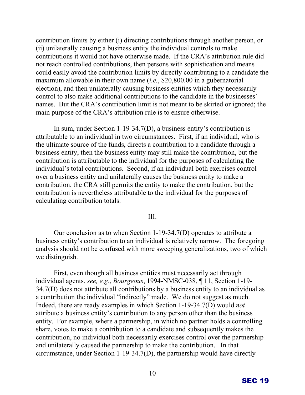contribution limits by either (i) directing contributions through another person, or (ii) unilaterally causing a business entity the individual controls to make contributions it would not have otherwise made. If the CRA's attribution rule did not reach controlled contributions, then persons with sophistication and means could easily avoid the contribution limits by directly contributing to a candidate the maximum allowable in their own name (*i.e.*, \$20,800.00 in a gubernatorial election), and then unilaterally causing business entities which they necessarily control to also make additional contributions to the candidate in the businesses' names. But the CRA's contribution limit is not meant to be skirted or ignored; the main purpose of the CRA's attribution rule is to ensure otherwise.

In sum, under Section 1-19-34.7(D), a business entity's contribution is attributable to an individual in two circumstances. First, if an individual, who is the ultimate source of the funds, directs a contribution to a candidate through a business entity, then the business entity may still make the contribution, but the contribution is attributable to the individual for the purposes of calculating the individual's total contributions. Second, if an individual both exercises control over a business entity and unilaterally causes the business entity to make a contribution, the CRA still permits the entity to make the contribution, but the contribution is nevertheless attributable to the individual for the purposes of calculating contribution totals.

III.

Our conclusion as to when Section 1-19-34.7(D) operates to attribute a business entity's contribution to an individual is relatively narrow. The foregoing analysis should not be confused with more sweeping generalizations, two of which we distinguish.

First, even though all business entities must necessarily act through individual agents, *see, e.g.*, *Bourgeous*, 1994-NMSC-038, ¶ 11, Section 1-19- 34.7(D) does not attribute all contributions by a business entity to an individual as a contribution the individual "indirectly" made. We do not suggest as much. Indeed, there are ready examples in which Section 1-19-34.7(D) would *not* attribute a business entity's contribution to any person other than the business entity. For example, where a partnership, in which no partner holds a controlling share, votes to make a contribution to a candidate and subsequently makes the contribution, no individual both necessarily exercises control over the partnership and unilaterally caused the partnership to make the contribution. In that circumstance, under Section 1-19-34.7(D), the partnership would have directly

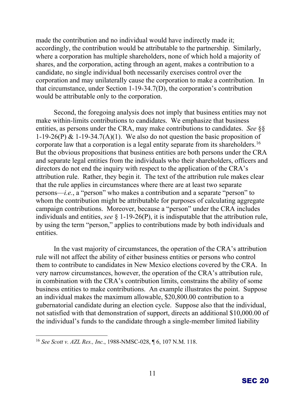made the contribution and no individual would have indirectly made it; accordingly, the contribution would be attributable to the partnership. Similarly, where a corporation has multiple shareholders, none of which hold a majority of shares, and the corporation, acting through an agent, makes a contribution to a candidate, no single individual both necessarily exercises control over the corporation and may unilaterally cause the corporation to make a contribution. In that circumstance, under Section 1-19-34.7(D), the corporation's contribution would be attributable only to the corporation.

Second, the foregoing analysis does not imply that business entities may not make within-limits contributions to candidates. We emphasize that business entities, as persons under the CRA, may make contributions to candidates. *See* §§ 1-19-26(P) & 1-19-34.7(A)(1). We also do not question the basic proposition of corporate law that a corporation is a legal entity separate from its shareholders.<sup>[16](#page-21-0)</sup> But the obvious propositions that business entities are both persons under the CRA and separate legal entities from the individuals who are their shareholders, officers and directors do not end the inquiry with respect to the application of the CRA's attribution rule. Rather, they begin it. The text of the attribution rule makes clear that the rule applies in circumstances where there are at least two separate persons—*i.e.*, a "person" who makes a contribution and a separate "person" to whom the contribution might be attributable for purposes of calculating aggregate campaign contributions. Moreover, because a "person" under the CRA includes individuals and entities, *see* § 1-19-26(P), it is indisputable that the attribution rule, by using the term "person," applies to contributions made by both individuals and entities.

In the vast majority of circumstances, the operation of the CRA's attribution rule will not affect the ability of either business entities or persons who control them to contribute to candidates in New Mexico elections covered by the CRA. In very narrow circumstances, however, the operation of the CRA's attribution rule, in combination with the CRA's contribution limits, constrains the ability of some business entities to make contributions. An example illustrates the point. Suppose an individual makes the maximum allowable \$20,800.00 contribution to a gubernatorial candidate during an election cycle. Suppose also that the individual, not satisfied with that demonstration of support, directs an additional \$10,000.00 of the individual's funds to the candidate through a single-member limited liability

<span id="page-21-0"></span><sup>16</sup> *See Scott v. AZL Res., Inc.*, 1988-NMSC-028, ¶ 6, 107 N.M. 118.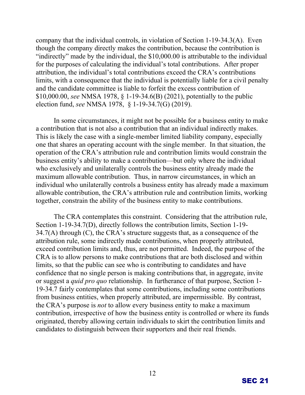company that the individual controls, in violation of Section 1-19-34.3(A). Even though the company directly makes the contribution, because the contribution is "indirectly" made by the individual, the \$10,000.00 is attributable to the individual for the purposes of calculating the individual's total contributions. After proper attribution, the individual's total contributions exceed the CRA's contributions limits, with a consequence that the individual is potentially liable for a civil penalty and the candidate committee is liable to forfeit the excess contribution of \$10,000.00, *see* NMSA 1978, § 1-19-34.6(B) (2021), potentially to the public election fund, *see* NMSA 1978, § 1-19-34.7(G) (2019).

In some circumstances, it might not be possible for a business entity to make a contribution that is not also a contribution that an individual indirectly makes. This is likely the case with a single-member limited liability company, especially one that shares an operating account with the single member. In that situation, the operation of the CRA's attribution rule and contribution limits would constrain the business entity's ability to make a contribution—but only where the individual who exclusively and unilaterally controls the business entity already made the maximum allowable contribution. Thus, in narrow circumstances, in which an individual who unilaterally controls a business entity has already made a maximum allowable contribution, the CRA's attribution rule and contribution limits, working together, constrain the ability of the business entity to make contributions.

The CRA contemplates this constraint. Considering that the attribution rule, Section 1-19-34.7(D), directly follows the contribution limits, Section 1-19-  $34.7(A)$  through (C), the CRA's structure suggests that, as a consequence of the attribution rule, some indirectly made contributions, when properly attributed, exceed contribution limits and, thus, are not permitted. Indeed, the purpose of the CRA is to allow persons to make contributions that are both disclosed and within limits, so that the public can see who is contributing to candidates and have confidence that no single person is making contributions that, in aggregate, invite or suggest a *quid pro quo* relationship. In furtherance of that purpose, Section 1- 19-34.7 fairly contemplates that some contributions, including some contributions from business entities, when properly attributed, are impermissible. By contrast, the CRA's purpose is *not* to allow every business entity to make a maximum contribution, irrespective of how the business entity is controlled or where its funds originated, thereby allowing certain individuals to skirt the contribution limits and candidates to distinguish between their supporters and their real friends.